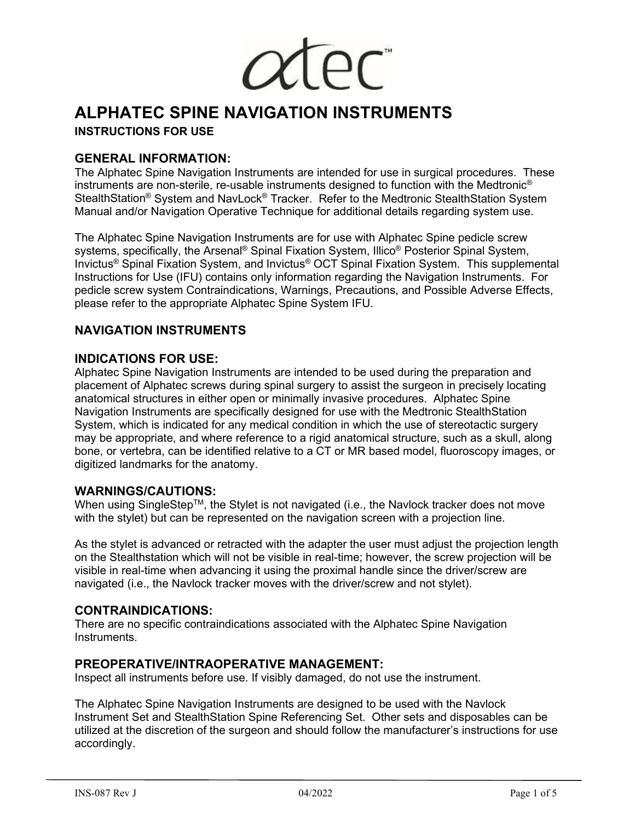

# **ALPHATEC SPINE NAVIGATION INSTRUMENTS**

**INSTRUCTIONS FOR USE**

### **GENERAL INFORMATION:**

The Alphatec Spine Navigation Instruments are intended for use in surgical procedures. These instruments are non-sterile, re-usable instruments designed to function with the Medtronic® StealthStation® System and NavLock® Tracker. Refer to the Medtronic StealthStation System Manual and/or Navigation Operative Technique for additional details regarding system use.

The Alphatec Spine Navigation Instruments are for use with Alphatec Spine pedicle screw systems, specifically, the Arsenal® Spinal Fixation System, Illico® Posterior Spinal System, Invictus® Spinal Fixation System, and Invictus® OCT Spinal Fixation System. This supplemental Instructions for Use (IFU) contains only information regarding the Navigation Instruments. For pedicle screw system Contraindications, Warnings, Precautions, and Possible Adverse Effects, please refer to the appropriate Alphatec Spine System IFU.

## **NAVIGATION INSTRUMENTS**

#### **INDICATIONS FOR USE:**

Alphatec Spine Navigation Instruments are intended to be used during the preparation and placement of Alphatec screws during spinal surgery to assist the surgeon in precisely locating anatomical structures in either open or minimally invasive procedures. Alphatec Spine Navigation Instruments are specifically designed for use with the Medtronic StealthStation System, which is indicated for any medical condition in which the use of stereotactic surgery may be appropriate, and where reference to a rigid anatomical structure, such as a skull, along bone, or vertebra, can be identified relative to a CT or MR based model, fluoroscopy images, or digitized landmarks for the anatomy.

#### **WARNINGS/CAUTIONS:**

When using SingleStep™, the Stylet is not navigated (i.e., the Navlock tracker does not move with the stylet) but can be represented on the navigation screen with a projection line.

As the stylet is advanced or retracted with the adapter the user must adjust the projection length on the Stealthstation which will not be visible in real-time; however, the screw projection will be visible in real-time when advancing it using the proximal handle since the driver/screw are navigated (i.e., the Navlock tracker moves with the driver/screw and not stylet).

#### **CONTRAINDICATIONS:**

There are no specific contraindications associated with the Alphatec Spine Navigation Instruments.

#### **PREOPERATIVE/INTRAOPERATIVE MANAGEMENT:**

Inspect all instruments before use. If visibly damaged, do not use the instrument.

The Alphatec Spine Navigation Instruments are designed to be used with the Navlock Instrument Set and StealthStation Spine Referencing Set. Other sets and disposables can be utilized at the discretion of the surgeon and should follow the manufacturer's instructions for use accordingly.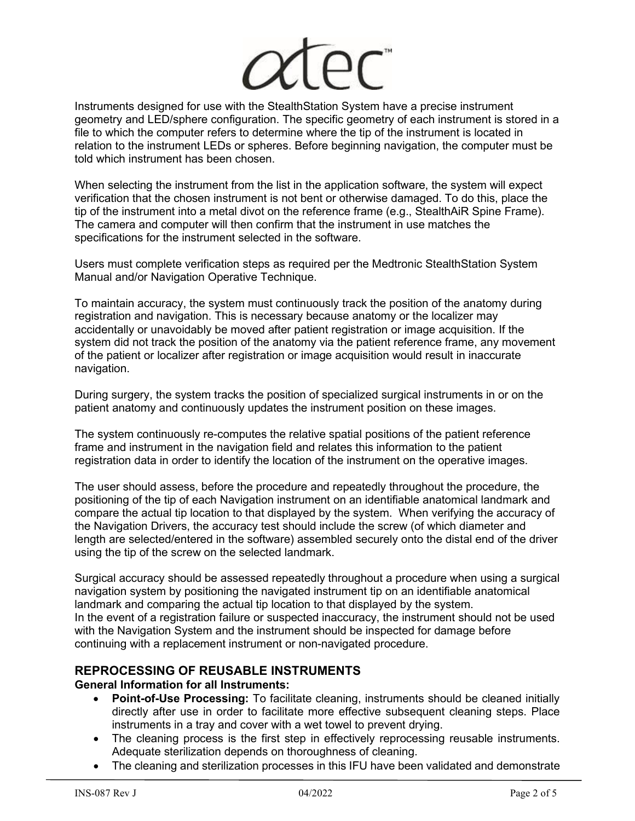

Instruments designed for use with the StealthStation System have a precise instrument geometry and LED/sphere configuration. The specific geometry of each instrument is stored in a file to which the computer refers to determine where the tip of the instrument is located in relation to the instrument LEDs or spheres. Before beginning navigation, the computer must be told which instrument has been chosen.

When selecting the instrument from the list in the application software, the system will expect verification that the chosen instrument is not bent or otherwise damaged. To do this, place the tip of the instrument into a metal divot on the reference frame (e.g., StealthAiR Spine Frame). The camera and computer will then confirm that the instrument in use matches the specifications for the instrument selected in the software.

Users must complete verification steps as required per the Medtronic StealthStation System Manual and/or Navigation Operative Technique.

To maintain accuracy, the system must continuously track the position of the anatomy during registration and navigation. This is necessary because anatomy or the localizer may accidentally or unavoidably be moved after patient registration or image acquisition. If the system did not track the position of the anatomy via the patient reference frame, any movement of the patient or localizer after registration or image acquisition would result in inaccurate navigation.

During surgery, the system tracks the position of specialized surgical instruments in or on the patient anatomy and continuously updates the instrument position on these images.

The system continuously re-computes the relative spatial positions of the patient reference frame and instrument in the navigation field and relates this information to the patient registration data in order to identify the location of the instrument on the operative images.

The user should assess, before the procedure and repeatedly throughout the procedure, the positioning of the tip of each Navigation instrument on an identifiable anatomical landmark and compare the actual tip location to that displayed by the system. When verifying the accuracy of the Navigation Drivers, the accuracy test should include the screw (of which diameter and length are selected/entered in the software) assembled securely onto the distal end of the driver using the tip of the screw on the selected landmark.

Surgical accuracy should be assessed repeatedly throughout a procedure when using a surgical navigation system by positioning the navigated instrument tip on an identifiable anatomical landmark and comparing the actual tip location to that displayed by the system. In the event of a registration failure or suspected inaccuracy, the instrument should not be used with the Navigation System and the instrument should be inspected for damage before continuing with a replacement instrument or non-navigated procedure.

## **REPROCESSING OF REUSABLE INSTRUMENTS**

## **General Information for all Instruments:**

- **Point-of-Use Processing:** To facilitate cleaning, instruments should be cleaned initially directly after use in order to facilitate more effective subsequent cleaning steps. Place instruments in a tray and cover with a wet towel to prevent drying.
- The cleaning process is the first step in effectively reprocessing reusable instruments. Adequate sterilization depends on thoroughness of cleaning.
- The cleaning and sterilization processes in this IFU have been validated and demonstrate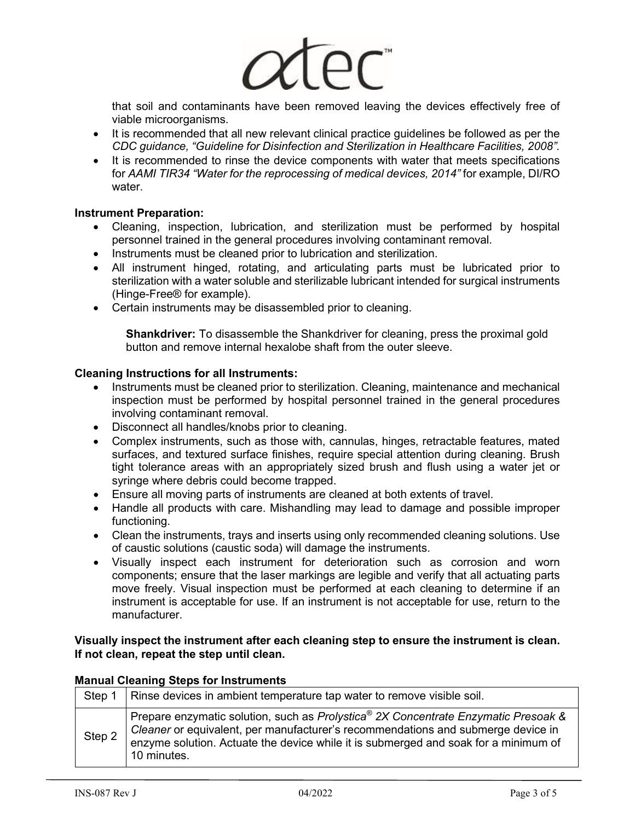

that soil and contaminants have been removed leaving the devices effectively free of viable microorganisms.

- It is recommended that all new relevant clinical practice guidelines be followed as per the *CDC guidance, "Guideline for Disinfection and Sterilization in Healthcare Facilities, 2008".*
- It is recommended to rinse the device components with water that meets specifications for *AAMI TIR34 "Water for the reprocessing of medical devices, 2014"* for example, DI/RO water.

#### **Instrument Preparation:**

- Cleaning, inspection, lubrication, and sterilization must be performed by hospital personnel trained in the general procedures involving contaminant removal.
- Instruments must be cleaned prior to lubrication and sterilization.
- All instrument hinged, rotating, and articulating parts must be lubricated prior to sterilization with a water soluble and sterilizable lubricant intended for surgical instruments (Hinge-Free® for example).
- Certain instruments may be disassembled prior to cleaning.

**Shankdriver:** To disassemble the Shankdriver for cleaning, press the proximal gold button and remove internal hexalobe shaft from the outer sleeve.

#### **Cleaning Instructions for all Instruments:**

- Instruments must be cleaned prior to sterilization. Cleaning, maintenance and mechanical inspection must be performed by hospital personnel trained in the general procedures involving contaminant removal.
- Disconnect all handles/knobs prior to cleaning.
- Complex instruments, such as those with, cannulas, hinges, retractable features, mated surfaces, and textured surface finishes, require special attention during cleaning. Brush tight tolerance areas with an appropriately sized brush and flush using a water jet or syringe where debris could become trapped.
- Ensure all moving parts of instruments are cleaned at both extents of travel.
- Handle all products with care. Mishandling may lead to damage and possible improper functioning.
- Clean the instruments, trays and inserts using only recommended cleaning solutions. Use of caustic solutions (caustic soda) will damage the instruments.
- Visually inspect each instrument for deterioration such as corrosion and worn components; ensure that the laser markings are legible and verify that all actuating parts move freely. Visual inspection must be performed at each cleaning to determine if an instrument is acceptable for use. If an instrument is not acceptable for use, return to the manufacturer.

**Visually inspect the instrument after each cleaning step to ensure the instrument is clean. If not clean, repeat the step until clean.**

#### **Manual Cleaning Steps for Instruments**

| Step 1 | Rinse devices in ambient temperature tap water to remove visible soil.                                                                                                                                                                                                                   |
|--------|------------------------------------------------------------------------------------------------------------------------------------------------------------------------------------------------------------------------------------------------------------------------------------------|
| Step 2 | Prepare enzymatic solution, such as Prolystica <sup>®</sup> 2X Concentrate Enzymatic Presoak &<br>Cleaner or equivalent, per manufacturer's recommendations and submerge device in<br>enzyme solution. Actuate the device while it is submerged and soak for a minimum of<br>10 minutes. |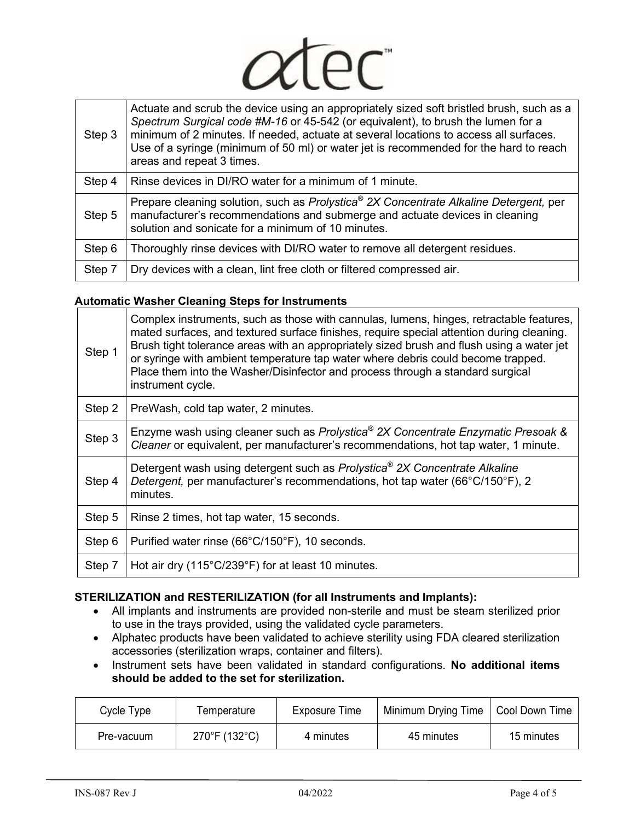

| Step 3 | Actuate and scrub the device using an appropriately sized soft bristled brush, such as a<br>Spectrum Surgical code #M-16 or 45-542 (or equivalent), to brush the lumen for a<br>minimum of 2 minutes. If needed, actuate at several locations to access all surfaces.<br>Use of a syringe (minimum of 50 ml) or water jet is recommended for the hard to reach<br>areas and repeat 3 times. |  |  |  |
|--------|---------------------------------------------------------------------------------------------------------------------------------------------------------------------------------------------------------------------------------------------------------------------------------------------------------------------------------------------------------------------------------------------|--|--|--|
| Step 4 | Rinse devices in DI/RO water for a minimum of 1 minute.                                                                                                                                                                                                                                                                                                                                     |  |  |  |
| Step 5 | Prepare cleaning solution, such as Prolystica <sup>®</sup> 2X Concentrate Alkaline Detergent, per<br>manufacturer's recommendations and submerge and actuate devices in cleaning<br>solution and sonicate for a minimum of 10 minutes.                                                                                                                                                      |  |  |  |
| Step 6 | Thoroughly rinse devices with DI/RO water to remove all detergent residues.                                                                                                                                                                                                                                                                                                                 |  |  |  |
| Step 7 | Dry devices with a clean, lint free cloth or filtered compressed air.                                                                                                                                                                                                                                                                                                                       |  |  |  |

#### **Automatic Washer Cleaning Steps for Instruments**

| Step 1 | Complex instruments, such as those with cannulas, lumens, hinges, retractable features,<br>mated surfaces, and textured surface finishes, require special attention during cleaning.<br>Brush tight tolerance areas with an appropriately sized brush and flush using a water jet<br>or syringe with ambient temperature tap water where debris could become trapped.<br>Place them into the Washer/Disinfector and process through a standard surgical<br>instrument cycle. |  |  |  |
|--------|------------------------------------------------------------------------------------------------------------------------------------------------------------------------------------------------------------------------------------------------------------------------------------------------------------------------------------------------------------------------------------------------------------------------------------------------------------------------------|--|--|--|
| Step 2 | PreWash, cold tap water, 2 minutes.                                                                                                                                                                                                                                                                                                                                                                                                                                          |  |  |  |
| Step 3 | Enzyme wash using cleaner such as Prolystica® 2X Concentrate Enzymatic Presoak &<br>Cleaner or equivalent, per manufacturer's recommendations, hot tap water, 1 minute.                                                                                                                                                                                                                                                                                                      |  |  |  |
| Step 4 | Detergent wash using detergent such as Prolystica <sup>®</sup> 2X Concentrate Alkaline<br>Detergent, per manufacturer's recommendations, hot tap water (66°C/150°F), 2<br>minutes.                                                                                                                                                                                                                                                                                           |  |  |  |
| Step 5 | Rinse 2 times, hot tap water, 15 seconds.                                                                                                                                                                                                                                                                                                                                                                                                                                    |  |  |  |
| Step 6 | Purified water rinse (66°C/150°F), 10 seconds.                                                                                                                                                                                                                                                                                                                                                                                                                               |  |  |  |
| Step 7 | Hot air dry (115°C/239°F) for at least 10 minutes.                                                                                                                                                                                                                                                                                                                                                                                                                           |  |  |  |

#### **STERILIZATION and RESTERILIZATION (for all Instruments and Implants):**

- All implants and instruments are provided non-sterile and must be steam sterilized prior to use in the trays provided, using the validated cycle parameters.
- Alphatec products have been validated to achieve sterility using FDA cleared sterilization accessories (sterilization wraps, container and filters).
- Instrument sets have been validated in standard configurations. **No additional items should be added to the set for sterilization.**

| Cycle Type | <u>Femperature</u> | <b>Exposure Time</b> | Minimum Drying Time | Cool Down Time |
|------------|--------------------|----------------------|---------------------|----------------|
| Pre-vacuum | 270°F (132°C)      | 4 minutes            | 45 minutes          | 15 minutes     |